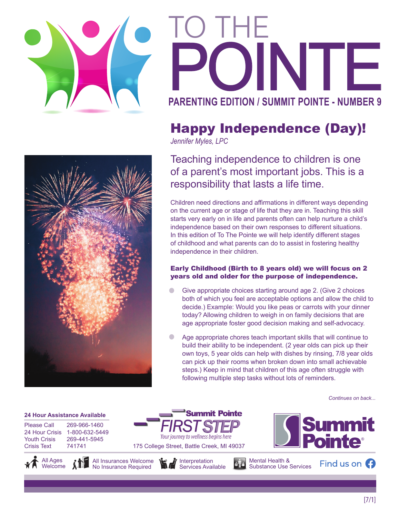



# PARENTING EDITION / SUMMIT POINTE - NUMBER 9 TO THE

## Happy Independence (Day)!

*Jennifer Myles, LPC*

Teaching independence to children is one of a parent's most important jobs. This is a responsibility that lasts a life time.

Children need directions and affirmations in different ways depending on the current age or stage of life that they are in. Teaching this skill starts very early on in life and parents often can help nurture a child's independence based on their own responses to different situations. In this edition of To The Pointe we will help identify different stages of childhood and what parents can do to assist in fostering healthy independence in their children.

### Early Childhood (Birth to 8 years old) we will focus on 2 years old and older for the purpose of independence.

- Give appropriate choices starting around age 2. (Give 2 choices both of which you feel are acceptable options and allow the child to decide.) Example: Would you like peas or carrots with your dinner today? Allowing children to weigh in on family decisions that are age appropriate foster good decision making and self-advocacy.
- Age appropriate chores teach important skills that will continue to build their ability to be independent. (2 year olds can pick up their own toys, 5 year olds can help with dishes by rinsing, 7/8 year olds can pick up their rooms when broken down into small achievable steps.) Keep in mind that children of this age often struggle with following multiple step tasks without lots of reminders.

*Continues on back...*

Find us on  $\Omega$ 

#### **24 Hour Assistance Available**

Please Call 269-966-1460 24 Hour Crisis 1-800-632-5449 Youth Crisis 269-441-5945 Crisis Text 741741







175 College Street, Battle Creek, MI 49037

Your journey to wellness begins here

ummit Pointe

Mental Health & Substance Use Services

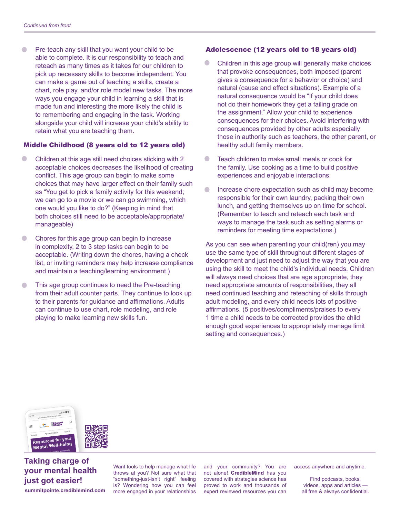**• Pre-teach any skill that you want your child to be** able to complete. It is our responsibility to teach and reteach as many times as it takes for our children to pick up necessary skills to become independent. You can make a game out of teaching a skills, create a chart, role play, and/or role model new tasks. The more ways you engage your child in learning a skill that is made fun and interesting the more likely the child is to remembering and engaging in the task. Working alongside your child will increase your child's ability to retain what you are teaching them.

#### Middle Childhood (8 years old to 12 years old)

- Children at this age still need choices sticking with 2 acceptable choices decreases the likelihood of creating conflict. This age group can begin to make some choices that may have larger effect on their family such as "You get to pick a family activity for this weekend; we can go to a movie or we can go swimming, which one would you like to do?" (Keeping in mind that both choices still need to be acceptable/appropriate/ manageable)
- Chores for this age group can begin to increase in complexity, 2 to 3 step tasks can begin to be acceptable. (Writing down the chores, having a check list, or inviting reminders may help increase compliance and maintain a teaching/learning environment.)
- This age group continues to need the Pre-teaching from their adult counter parts. They continue to look up to their parents for guidance and affirmations. Adults can continue to use chart, role modeling, and role playing to make learning new skills fun.

#### Adolescence (12 years old to 18 years old)

- Children in this age group will generally make choices that provoke consequences, both imposed (parent gives a consequence for a behavior or choice) and natural (cause and effect situations). Example of a natural consequence would be "If your child does not do their homework they get a failing grade on the assignment." Allow your child to experience consequences for their choices. Avoid interfering with consequences provided by other adults especially those in authority such as teachers, the other parent, or healthy adult family members.
- Teach children to make small meals or cook for the family. Use cooking as a time to build positive experiences and enjoyable interactions.
- Increase chore expectation such as child may become responsible for their own laundry, packing their own lunch, and getting themselves up on time for school. (Remember to teach and reteach each task and ways to manage the task such as setting alarms or reminders for meeting time expectations.)

As you can see when parenting your child(ren) you may use the same type of skill throughout different stages of development and just need to adjust the way that you are using the skill to meet the child's individual needs. Children will always need choices that are age appropriate, they need appropriate amounts of responsibilities, they all need continued teaching and reteaching of skills through adult modeling, and every child needs lots of positive affirmations. (5 positives/compliments/praises to every 1 time a child needs to be corrected provides the child enough good experiences to appropriately manage limit setting and consequences.)



**Taking charge of your mental health just got easier!**

**summitpointe.crediblemind.com**

Want tools to help manage what life throws at you? Not sure what that "something-just-isn't right" feeling is? Wondering how you can feel more engaged in your relationships

and your community? You are not alone! **CredibleMind** has you covered with strategies science has proved to work and thousands of expert reviewed resources you can access anywhere and anytime.

Find podcasts, books, videos, apps and articles all free & always confidential.